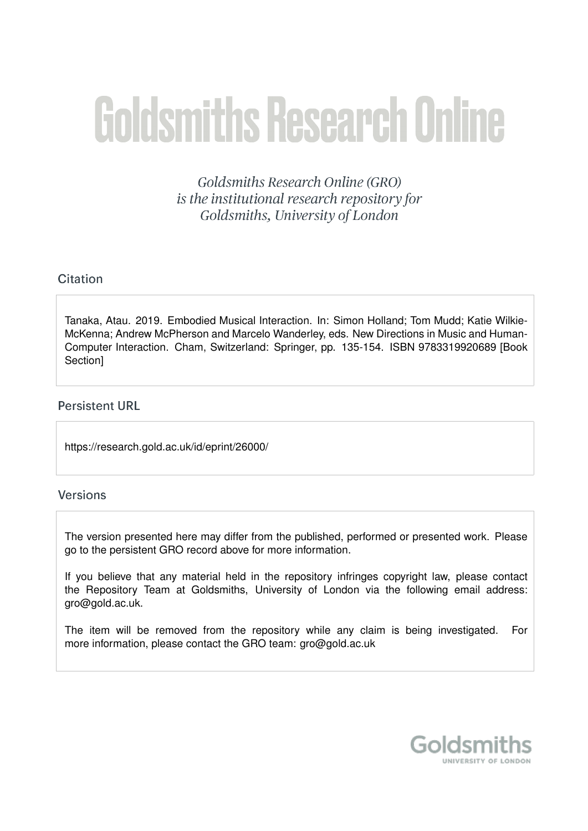# **Goldsmiths Research Online**

Goldsmiths Research Online (GRO) is the institutional research repository for Goldsmiths, University of London

# Citation

Tanaka, Atau. 2019. Embodied Musical Interaction. In: Simon Holland; Tom Mudd; Katie Wilkie-McKenna; Andrew McPherson and Marcelo Wanderley, eds. New Directions in Music and Human-Computer Interaction. Cham, Switzerland: Springer, pp. 135-154. ISBN 9783319920689 [Book Section]

## **Persistent URL**

https://research.gold.ac.uk/id/eprint/26000/

## Versions

The version presented here may differ from the published, performed or presented work. Please go to the persistent GRO record above for more information.

If you believe that any material held in the repository infringes copyright law, please contact the Repository Team at Goldsmiths, University of London via the following email address: gro@gold.ac.uk.

The item will be removed from the repository while any claim is being investigated. For more information, please contact the GRO team: gro@gold.ac.uk

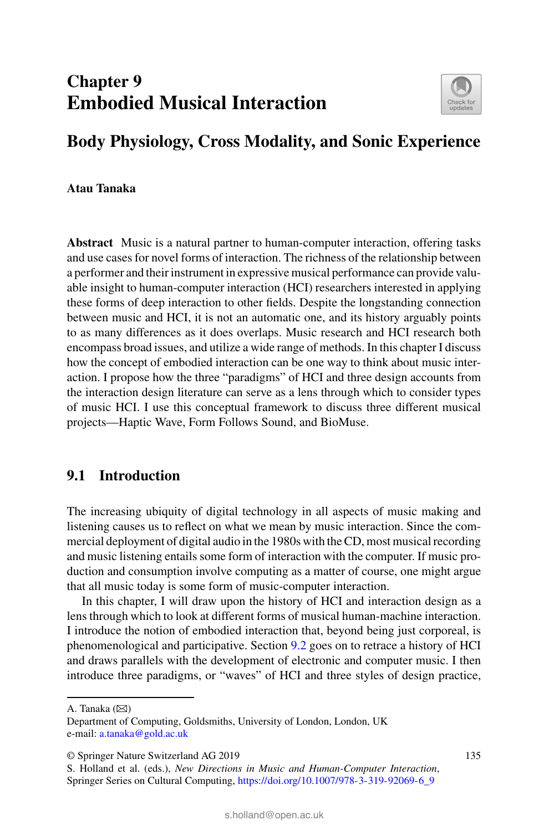# **Chapter 9 Embodied Musical Interaction**



# **Body Physiology, Cross Modality, and Sonic Experience**

#### **Atau Tanaka**

**Abstract** Music is a natural partner to human-computer interaction, offering tasks and use cases for novel forms of interaction. The richness of the relationship between a performer and their instrument in expressive musical performance can provide valuable insight to human-computer interaction (HCI) researchers interested in applying these forms of deep interaction to other fields. Despite the longstanding connection between music and HCI, it is not an automatic one, and its history arguably points to as many differences as it does overlaps. Music research and HCI research both encompass broad issues, and utilize a wide range of methods. In this chapter I discuss how the concept of embodied interaction can be one way to think about music interaction. I propose how the three "paradigms" of HCI and three design accounts from the interaction design literature can serve as a lens through which to consider types of music HCI. I use this conceptual framework to discuss three different musical projects—Haptic Wave, Form Follows Sound, and BioMuse.

#### **9.1 Introduction**

The increasing ubiquity of digital technology in all aspects of music making and listening causes us to reflect on what we mean by music interaction. Since the commercial deployment of digital audio in the 1980s with the CD, most musical recording and music listening entails some form of interaction with the computer. If music production and consumption involve computing as a matter of course, one might argue that all music today is some form of music-computer interaction.

In this chapter, I will draw upon the history of HCI and interaction design as a lens through which to look at different forms of musical human-machine interaction. I introduce the notion of embodied interaction that, beyond being just corporeal, is phenomenological and participative. Section 9.2 goes on to retrace a history of HCI and draws parallels with the development of electronic and computer music. I then introduce three paradigms, or "waves" of HCI and three styles of design practice,

A. Tanaka  $(\boxtimes)$ 

© Springer Nature Switzerland AG 2019

Department of Computing, Goldsmiths, University of London, London, UK e-mail: [a.tanaka@gold.ac.uk](mailto:a.tanaka@gold.ac.uk)

S. Holland et al. (eds.), *New Directions in Music and Human-Computer Interaction*, Springer Series on Cultural Computing, [https://doi.org/10.1007/978-3-319-92069-6\\_9](https://doi.org/10.1007/978-3-319-92069-6_9)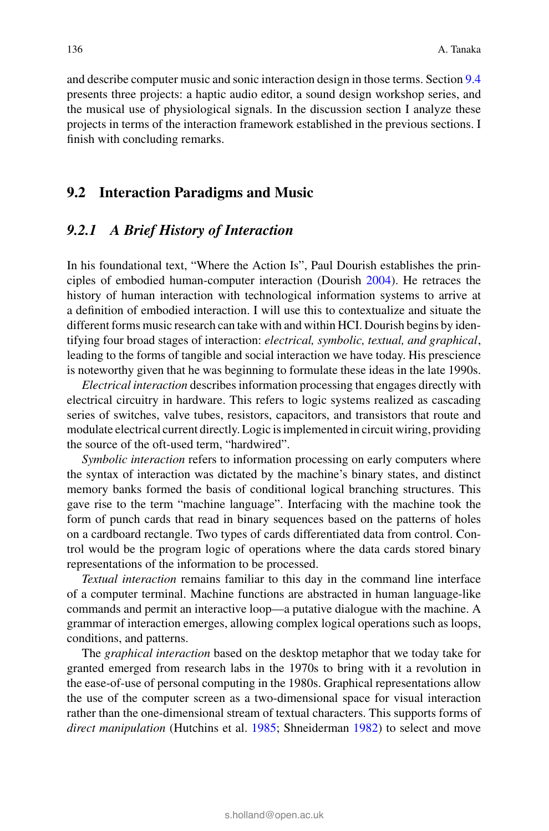and describe computer music and sonic interaction design in those terms. Section 9.4 presents three projects: a haptic audio editor, a sound design workshop series, and the musical use of physiological signals. In the discussion section I analyze these projects in terms of the interaction framework established in the previous sections. I finish with concluding remarks.

#### **9.2 Interaction Paradigms and Music**

#### *9.2.1 A Brief History of Interaction*

In his foundational text, "Where the Action Is", Paul Dourish establishes the principles of embodied human-computer interaction (Dourish 2004). He retraces the history of human interaction with technological information systems to arrive at a definition of embodied interaction. I will use this to contextualize and situate the different forms music research can take with and within HCI. Dourish begins by identifying four broad stages of interaction: *electrical, symbolic, textual, and graphical*, leading to the forms of tangible and social interaction we have today. His prescience is noteworthy given that he was beginning to formulate these ideas in the late 1990s.

*Electrical interaction* describes information processing that engages directly with electrical circuitry in hardware. This refers to logic systems realized as cascading series of switches, valve tubes, resistors, capacitors, and transistors that route and modulate electrical current directly. Logic is implemented in circuit wiring, providing the source of the oft-used term, "hardwired".

*Symbolic interaction* refers to information processing on early computers where the syntax of interaction was dictated by the machine's binary states, and distinct memory banks formed the basis of conditional logical branching structures. This gave rise to the term "machine language". Interfacing with the machine took the form of punch cards that read in binary sequences based on the patterns of holes on a cardboard rectangle. Two types of cards differentiated data from control. Control would be the program logic of operations where the data cards stored binary representations of the information to be processed.

*Textual interaction* remains familiar to this day in the command line interface of a computer terminal. Machine functions are abstracted in human language-like commands and permit an interactive loop—a putative dialogue with the machine. A grammar of interaction emerges, allowing complex logical operations such as loops, conditions, and patterns.

The *graphical interaction* based on the desktop metaphor that we today take for granted emerged from research labs in the 1970s to bring with it a revolution in the ease-of-use of personal computing in the 1980s. Graphical representations allow the use of the computer screen as a two-dimensional space for visual interaction rather than the one-dimensional stream of textual characters. This supports forms of *direct manipulation* (Hutchins et al. 1985; Shneiderman 1982) to select and move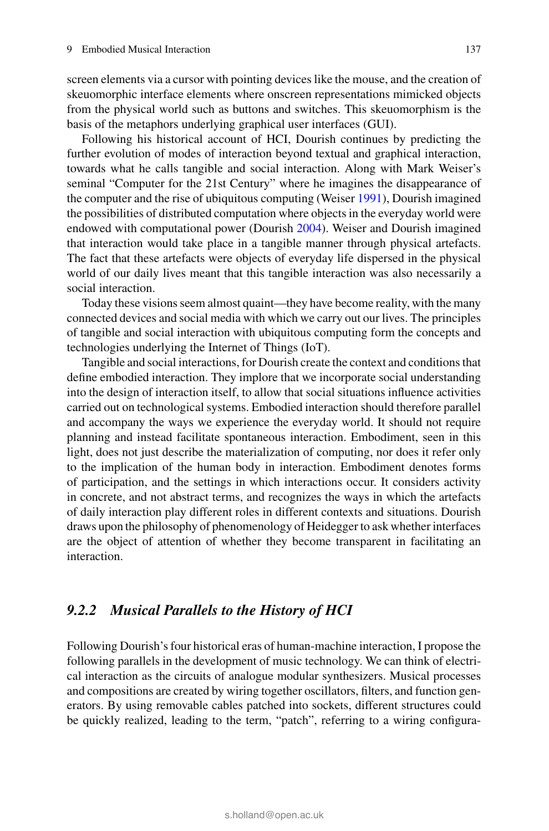screen elements via a cursor with pointing devices like the mouse, and the creation of skeuomorphic interface elements where onscreen representations mimicked objects from the physical world such as buttons and switches. This skeuomorphism is the basis of the metaphors underlying graphical user interfaces (GUI).

Following his historical account of HCI, Dourish continues by predicting the further evolution of modes of interaction beyond textual and graphical interaction, towards what he calls tangible and social interaction. Along with Mark Weiser's seminal "Computer for the 21st Century" where he imagines the disappearance of the computer and the rise of ubiquitous computing (Weiser 1991), Dourish imagined the possibilities of distributed computation where objects in the everyday world were endowed with computational power (Dourish 2004). Weiser and Dourish imagined that interaction would take place in a tangible manner through physical artefacts. The fact that these artefacts were objects of everyday life dispersed in the physical world of our daily lives meant that this tangible interaction was also necessarily a social interaction.

Today these visions seem almost quaint—they have become reality, with the many connected devices and social media with which we carry out our lives. The principles of tangible and social interaction with ubiquitous computing form the concepts and technologies underlying the Internet of Things (IoT).

Tangible and social interactions, for Dourish create the context and conditions that define embodied interaction. They implore that we incorporate social understanding into the design of interaction itself, to allow that social situations influence activities carried out on technological systems. Embodied interaction should therefore parallel and accompany the ways we experience the everyday world. It should not require planning and instead facilitate spontaneous interaction. Embodiment, seen in this light, does not just describe the materialization of computing, nor does it refer only to the implication of the human body in interaction. Embodiment denotes forms of participation, and the settings in which interactions occur. It considers activity in concrete, and not abstract terms, and recognizes the ways in which the artefacts of daily interaction play different roles in different contexts and situations. Dourish draws upon the philosophy of phenomenology of Heidegger to ask whether interfaces are the object of attention of whether they become transparent in facilitating an interaction.

#### *9.2.2 Musical Parallels to the History of HCI*

Following Dourish's four historical eras of human-machine interaction, I propose the following parallels in the development of music technology. We can think of electrical interaction as the circuits of analogue modular synthesizers. Musical processes and compositions are created by wiring together oscillators, filters, and function generators. By using removable cables patched into sockets, different structures could be quickly realized, leading to the term, "patch", referring to a wiring configura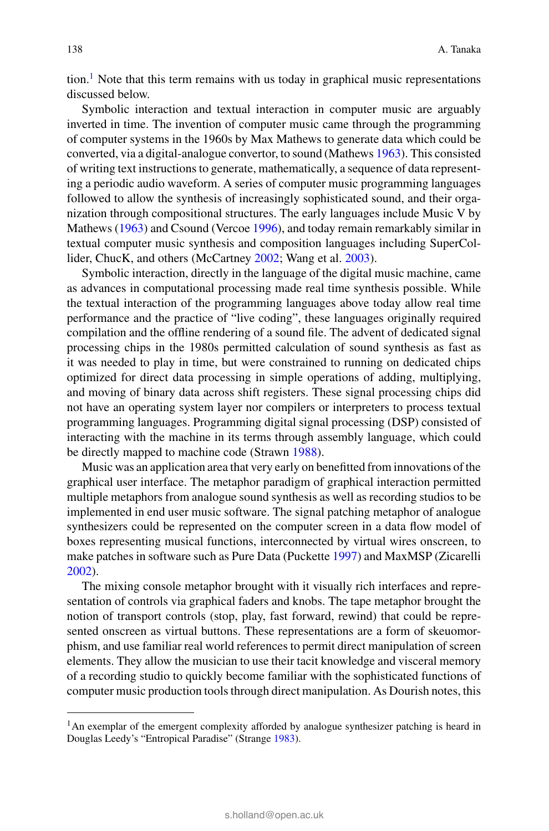tion.<sup>1</sup> Note that this term remains with us today in graphical music representations discussed below.

Symbolic interaction and textual interaction in computer music are arguably inverted in time. The invention of computer music came through the programming of computer systems in the 1960s by Max Mathews to generate data which could be converted, via a digital-analogue convertor, to sound (Mathews 1963). This consisted of writing text instructions to generate, mathematically, a sequence of data representing a periodic audio waveform. A series of computer music programming languages followed to allow the synthesis of increasingly sophisticated sound, and their organization through compositional structures. The early languages include Music V by Mathews (1963) and Csound (Vercoe 1996), and today remain remarkably similar in textual computer music synthesis and composition languages including SuperCollider, ChucK, and others (McCartney 2002; Wang et al. 2003).

Symbolic interaction, directly in the language of the digital music machine, came as advances in computational processing made real time synthesis possible. While the textual interaction of the programming languages above today allow real time performance and the practice of "live coding", these languages originally required compilation and the offline rendering of a sound file. The advent of dedicated signal processing chips in the 1980s permitted calculation of sound synthesis as fast as it was needed to play in time, but were constrained to running on dedicated chips optimized for direct data processing in simple operations of adding, multiplying, and moving of binary data across shift registers. These signal processing chips did not have an operating system layer nor compilers or interpreters to process textual programming languages. Programming digital signal processing (DSP) consisted of interacting with the machine in its terms through assembly language, which could be directly mapped to machine code (Strawn 1988).

Music was an application area that very early on benefitted from innovations of the graphical user interface. The metaphor paradigm of graphical interaction permitted multiple metaphors from analogue sound synthesis as well as recording studios to be implemented in end user music software. The signal patching metaphor of analogue synthesizers could be represented on the computer screen in a data flow model of boxes representing musical functions, interconnected by virtual wires onscreen, to make patches in software such as Pure Data (Puckette 1997) and MaxMSP (Zicarelli 2002).

The mixing console metaphor brought with it visually rich interfaces and representation of controls via graphical faders and knobs. The tape metaphor brought the notion of transport controls (stop, play, fast forward, rewind) that could be represented onscreen as virtual buttons. These representations are a form of skeuomorphism, and use familiar real world references to permit direct manipulation of screen elements. They allow the musician to use their tacit knowledge and visceral memory of a recording studio to quickly become familiar with the sophisticated functions of computer music production tools through direct manipulation. As Dourish notes, this

<sup>&</sup>lt;sup>1</sup>An exemplar of the emergent complexity afforded by analogue synthesizer patching is heard in Douglas Leedy's "Entropical Paradise" (Strange 1983).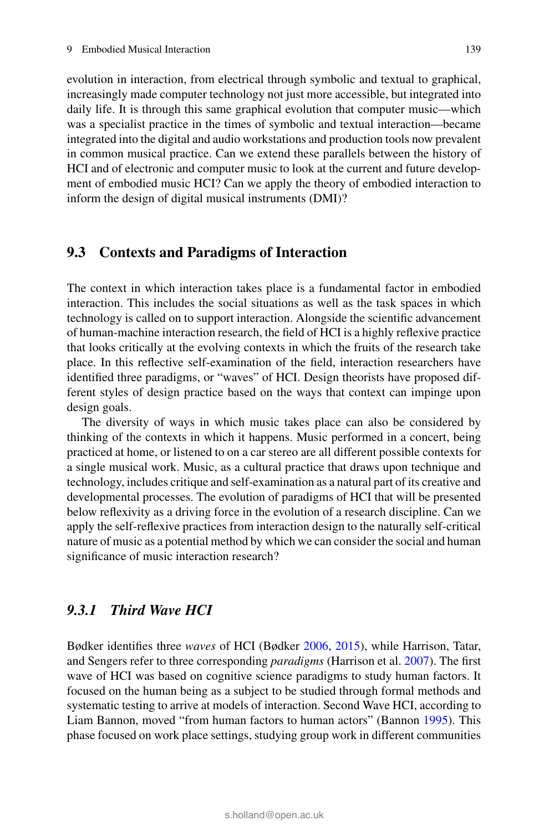evolution in interaction, from electrical through symbolic and textual to graphical, increasingly made computer technology not just more accessible, but integrated into daily life. It is through this same graphical evolution that computer music—which was a specialist practice in the times of symbolic and textual interaction—became integrated into the digital and audio workstations and production tools now prevalent in common musical practice. Can we extend these parallels between the history of HCI and of electronic and computer music to look at the current and future development of embodied music HCI? Can we apply the theory of embodied interaction to inform the design of digital musical instruments (DMI)?

#### **9.3 Contexts and Paradigms of Interaction**

The context in which interaction takes place is a fundamental factor in embodied interaction. This includes the social situations as well as the task spaces in which technology is called on to support interaction. Alongside the scientific advancement of human-machine interaction research, the field of HCI is a highly reflexive practice that looks critically at the evolving contexts in which the fruits of the research take place. In this reflective self-examination of the field, interaction researchers have identified three paradigms, or "waves" of HCI. Design theorists have proposed different styles of design practice based on the ways that context can impinge upon design goals.

The diversity of ways in which music takes place can also be considered by thinking of the contexts in which it happens. Music performed in a concert, being practiced at home, or listened to on a car stereo are all different possible contexts for a single musical work. Music, as a cultural practice that draws upon technique and technology, includes critique and self-examination as a natural part of its creative and developmental processes. The evolution of paradigms of HCI that will be presented below reflexivity as a driving force in the evolution of a research discipline. Can we apply the self-reflexive practices from interaction design to the naturally self-critical nature of music as a potential method by which we can consider the social and human significance of music interaction research?

#### *9.3.1 Third Wave HCI*

Bødker identifies three *waves* of HCI (Bødker 2006, 2015), while Harrison, Tatar, and Sengers refer to three corresponding *paradigms* (Harrison et al. 2007). The first wave of HCI was based on cognitive science paradigms to study human factors. It focused on the human being as a subject to be studied through formal methods and systematic testing to arrive at models of interaction. Second Wave HCI, according to Liam Bannon, moved "from human factors to human actors" (Bannon 1995). This phase focused on work place settings, studying group work in different communities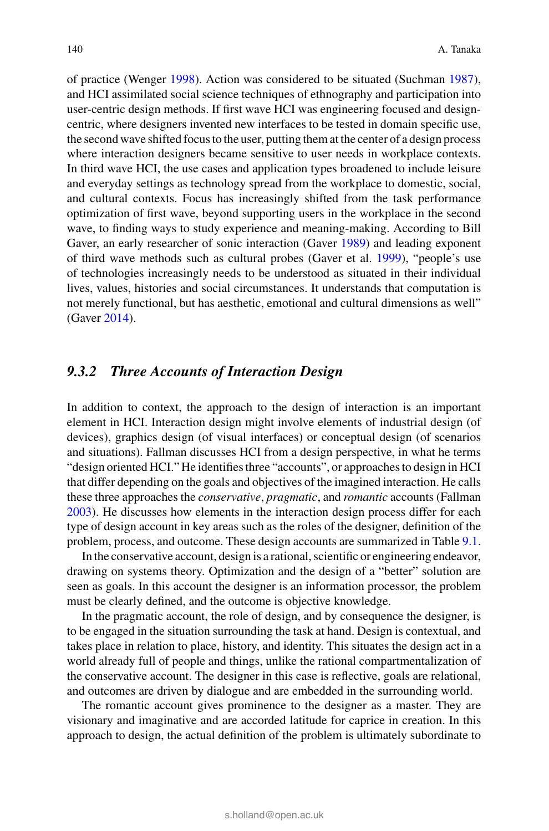of practice (Wenger 1998). Action was considered to be situated (Suchman 1987), and HCI assimilated social science techniques of ethnography and participation into user-centric design methods. If first wave HCI was engineering focused and designcentric, where designers invented new interfaces to be tested in domain specific use, the second wave shifted focus to the user, putting them at the center of a design process where interaction designers became sensitive to user needs in workplace contexts. In third wave HCI, the use cases and application types broadened to include leisure and everyday settings as technology spread from the workplace to domestic, social, and cultural contexts. Focus has increasingly shifted from the task performance optimization of first wave, beyond supporting users in the workplace in the second wave, to finding ways to study experience and meaning-making. According to Bill Gaver, an early researcher of sonic interaction (Gaver 1989) and leading exponent of third wave methods such as cultural probes (Gaver et al. 1999), "people's use of technologies increasingly needs to be understood as situated in their individual lives, values, histories and social circumstances. It understands that computation is not merely functional, but has aesthetic, emotional and cultural dimensions as well" (Gaver 2014).

#### *9.3.2 Three Accounts of Interaction Design*

In addition to context, the approach to the design of interaction is an important element in HCI. Interaction design might involve elements of industrial design (of devices), graphics design (of visual interfaces) or conceptual design (of scenarios and situations). Fallman discusses HCI from a design perspective, in what he terms "design oriented HCI." He identifies three "accounts", or approaches to design in HCI that differ depending on the goals and objectives of the imagined interaction. He calls these three approaches the *conservative*, *pragmatic*, and *romantic* accounts (Fallman 2003). He discusses how elements in the interaction design process differ for each type of design account in key areas such as the roles of the designer, definition of the problem, process, and outcome. These design accounts are summarized in Table 9.1.

In the conservative account, design is a rational, scientific or engineering endeavor, drawing on systems theory. Optimization and the design of a "better" solution are seen as goals. In this account the designer is an information processor, the problem must be clearly defined, and the outcome is objective knowledge.

In the pragmatic account, the role of design, and by consequence the designer, is to be engaged in the situation surrounding the task at hand. Design is contextual, and takes place in relation to place, history, and identity. This situates the design act in a world already full of people and things, unlike the rational compartmentalization of the conservative account. The designer in this case is reflective, goals are relational, and outcomes are driven by dialogue and are embedded in the surrounding world.

The romantic account gives prominence to the designer as a master. They are visionary and imaginative and are accorded latitude for caprice in creation. In this approach to design, the actual definition of the problem is ultimately subordinate to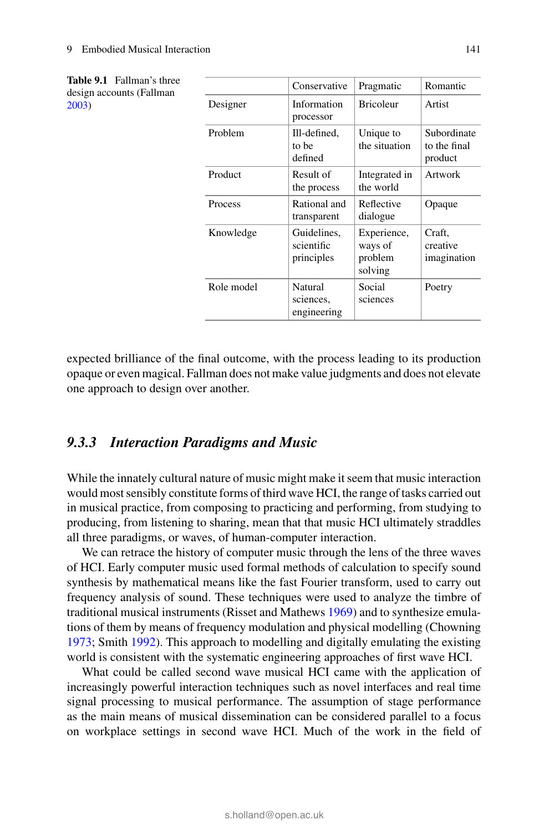| <b>Table 9.1</b> Fallman's three<br>design accounts (Fallman<br>2003) |            | Conservative                            | Pragmatic                                    | Romantic                               |
|-----------------------------------------------------------------------|------------|-----------------------------------------|----------------------------------------------|----------------------------------------|
|                                                                       | Designer   | Information<br>processor                | <b>Bricoleur</b>                             | Artist                                 |
|                                                                       | Problem    | Ill-defined,<br>to be<br>defined        | Unique to<br>the situation                   | Subordinate<br>to the final<br>product |
|                                                                       | Product    | Result of<br>the process                | Integrated in<br>the world                   | Artwork                                |
|                                                                       | Process    | Rational and<br>transparent             | Reflective<br>dialogue                       | Opaque                                 |
|                                                                       | Knowledge  | Guidelines,<br>scientific<br>principles | Experience,<br>ways of<br>problem<br>solving | Craft,<br>creative<br>imagination      |
|                                                                       | Role model | Natural<br>sciences,<br>engineering     | Social<br>sciences                           | Poetry                                 |

expected brilliance of the final outcome, with the process leading to its production opaque or even magical. Fallman does not make value judgments and does not elevate one approach to design over another.

#### *9.3.3 Interaction Paradigms and Music*

While the innately cultural nature of music might make it seem that music interaction would most sensibly constitute forms of third wave HCI, the range of tasks carried out in musical practice, from composing to practicing and performing, from studying to producing, from listening to sharing, mean that that music HCI ultimately straddles all three paradigms, or waves, of human-computer interaction.

We can retrace the history of computer music through the lens of the three waves of HCI. Early computer music used formal methods of calculation to specify sound synthesis by mathematical means like the fast Fourier transform, used to carry out frequency analysis of sound. These techniques were used to analyze the timbre of traditional musical instruments (Risset and Mathews 1969) and to synthesize emulations of them by means of frequency modulation and physical modelling (Chowning 1973; Smith 1992). This approach to modelling and digitally emulating the existing world is consistent with the systematic engineering approaches of first wave HCI.

What could be called second wave musical HCI came with the application of increasingly powerful interaction techniques such as novel interfaces and real time signal processing to musical performance. The assumption of stage performance as the main means of musical dissemination can be considered parallel to a focus on workplace settings in second wave HCI. Much of the work in the field of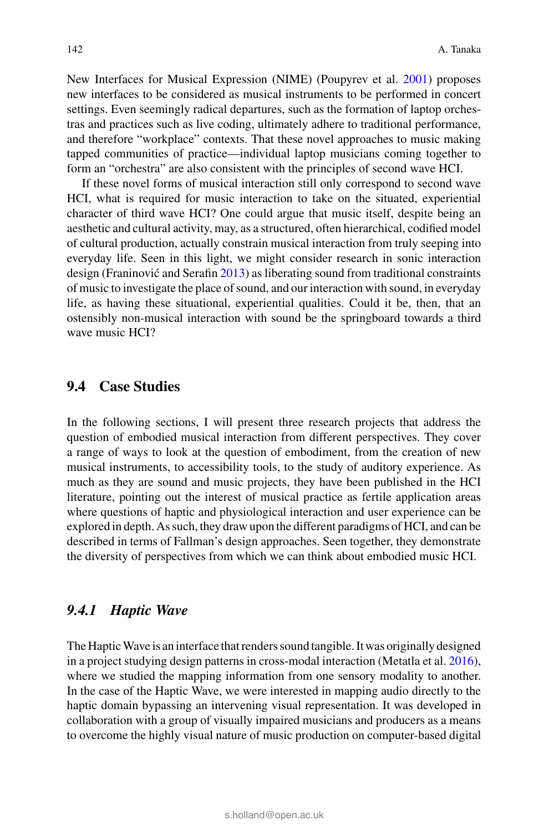New Interfaces for Musical Expression (NIME) (Poupyrev et al. 2001) proposes new interfaces to be considered as musical instruments to be performed in concert settings. Even seemingly radical departures, such as the formation of laptop orchestras and practices such as live coding, ultimately adhere to traditional performance, and therefore "workplace" contexts. That these novel approaches to music making tapped communities of practice—individual laptop musicians coming together to form an "orchestra" are also consistent with the principles of second wave HCI.

If these novel forms of musical interaction still only correspond to second wave HCI, what is required for music interaction to take on the situated, experiential character of third wave HCI? One could argue that music itself, despite being an aesthetic and cultural activity, may, as a structured, often hierarchical, codified model of cultural production, actually constrain musical interaction from truly seeping into everyday life. Seen in this light, we might consider research in sonic interaction design (Franinović and Serafin  $2013$ ) as liberating sound from traditional constraints of music to investigate the place of sound, and our interaction with sound, in everyday life, as having these situational, experiential qualities. Could it be, then, that an ostensibly non-musical interaction with sound be the springboard towards a third wave music HCI?

#### **9.4 Case Studies**

In the following sections, I will present three research projects that address the question of embodied musical interaction from different perspectives. They cover a range of ways to look at the question of embodiment, from the creation of new musical instruments, to accessibility tools, to the study of auditory experience. As much as they are sound and music projects, they have been published in the HCI literature, pointing out the interest of musical practice as fertile application areas where questions of haptic and physiological interaction and user experience can be explored in depth. As such, they draw upon the different paradigms of HCI, and can be described in terms of Fallman's design approaches. Seen together, they demonstrate the diversity of perspectives from which we can think about embodied music HCI.

#### *9.4.1 Haptic Wave*

The Haptic Wave is an interface that renders sound tangible. It was originally designed in a project studying design patterns in cross-modal interaction (Metatla et al. 2016), where we studied the mapping information from one sensory modality to another. In the case of the Haptic Wave, we were interested in mapping audio directly to the haptic domain bypassing an intervening visual representation. It was developed in collaboration with a group of visually impaired musicians and producers as a means to overcome the highly visual nature of music production on computer-based digital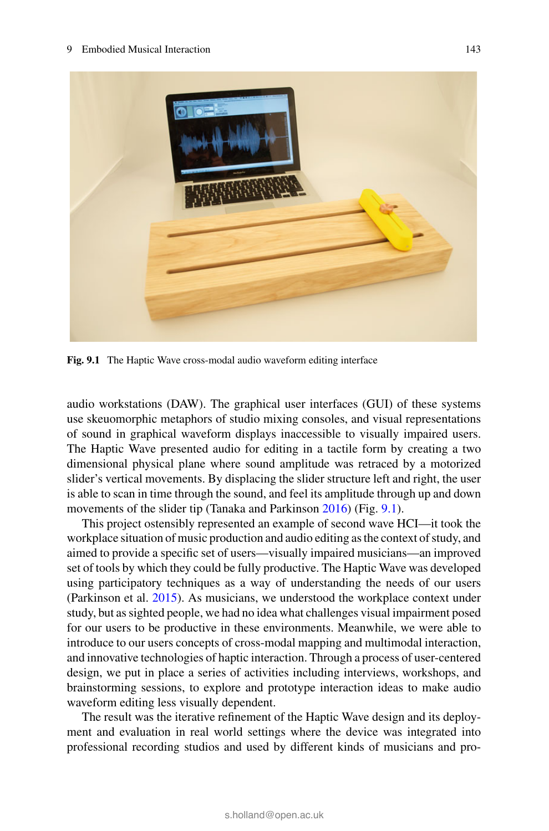

**Fig. 9.1** The Haptic Wave cross-modal audio waveform editing interface

audio workstations (DAW). The graphical user interfaces (GUI) of these systems use skeuomorphic metaphors of studio mixing consoles, and visual representations of sound in graphical waveform displays inaccessible to visually impaired users. The Haptic Wave presented audio for editing in a tactile form by creating a two dimensional physical plane where sound amplitude was retraced by a motorized slider's vertical movements. By displacing the slider structure left and right, the user is able to scan in time through the sound, and feel its amplitude through up and down movements of the slider tip (Tanaka and Parkinson 2016) (Fig. 9.1).

This project ostensibly represented an example of second wave HCI—it took the workplace situation of music production and audio editing as the context of study, and aimed to provide a specific set of users—visually impaired musicians—an improved set of tools by which they could be fully productive. The Haptic Wave was developed using participatory techniques as a way of understanding the needs of our users (Parkinson et al. 2015). As musicians, we understood the workplace context under study, but as sighted people, we had no idea what challenges visual impairment posed for our users to be productive in these environments. Meanwhile, we were able to introduce to our users concepts of cross-modal mapping and multimodal interaction, and innovative technologies of haptic interaction. Through a process of user-centered design, we put in place a series of activities including interviews, workshops, and brainstorming sessions, to explore and prototype interaction ideas to make audio waveform editing less visually dependent.

The result was the iterative refinement of the Haptic Wave design and its deployment and evaluation in real world settings where the device was integrated into professional recording studios and used by different kinds of musicians and pro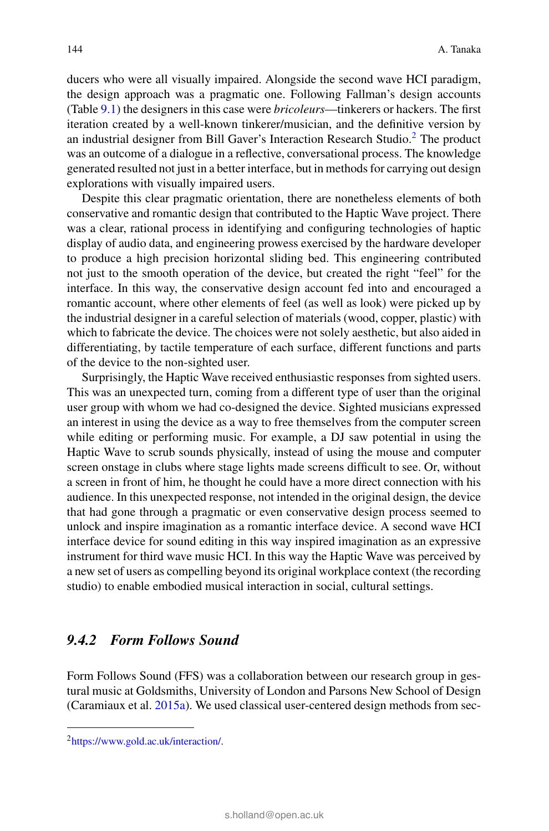ducers who were all visually impaired. Alongside the second wave HCI paradigm, the design approach was a pragmatic one. Following Fallman's design accounts (Table 9.1) the designers in this case were *bricoleurs*—tinkerers or hackers. The first iteration created by a well-known tinkerer/musician, and the definitive version by an industrial designer from Bill Gaver's Interaction Research Studio.2 The product was an outcome of a dialogue in a reflective, conversational process. The knowledge generated resulted not just in a better interface, but in methods for carrying out design explorations with visually impaired users.

Despite this clear pragmatic orientation, there are nonetheless elements of both conservative and romantic design that contributed to the Haptic Wave project. There was a clear, rational process in identifying and configuring technologies of haptic display of audio data, and engineering prowess exercised by the hardware developer to produce a high precision horizontal sliding bed. This engineering contributed not just to the smooth operation of the device, but created the right "feel" for the interface. In this way, the conservative design account fed into and encouraged a romantic account, where other elements of feel (as well as look) were picked up by the industrial designer in a careful selection of materials (wood, copper, plastic) with which to fabricate the device. The choices were not solely aesthetic, but also aided in differentiating, by tactile temperature of each surface, different functions and parts of the device to the non-sighted user.

Surprisingly, the Haptic Wave received enthusiastic responses from sighted users. This was an unexpected turn, coming from a different type of user than the original user group with whom we had co-designed the device. Sighted musicians expressed an interest in using the device as a way to free themselves from the computer screen while editing or performing music. For example, a DJ saw potential in using the Haptic Wave to scrub sounds physically, instead of using the mouse and computer screen onstage in clubs where stage lights made screens difficult to see. Or, without a screen in front of him, he thought he could have a more direct connection with his audience. In this unexpected response, not intended in the original design, the device that had gone through a pragmatic or even conservative design process seemed to unlock and inspire imagination as a romantic interface device. A second wave HCI interface device for sound editing in this way inspired imagination as an expressive instrument for third wave music HCI. In this way the Haptic Wave was perceived by a new set of users as compelling beyond its original workplace context (the recording studio) to enable embodied musical interaction in social, cultural settings.

#### *9.4.2 Form Follows Sound*

Form Follows Sound (FFS) was a collaboration between our research group in gestural music at Goldsmiths, University of London and Parsons New School of Design (Caramiaux et al. 2015a). We used classical user-centered design methods from sec-

[<sup>2</sup>https://www.gold.ac.uk/interaction/.](https://www.gold.ac.uk/interaction/)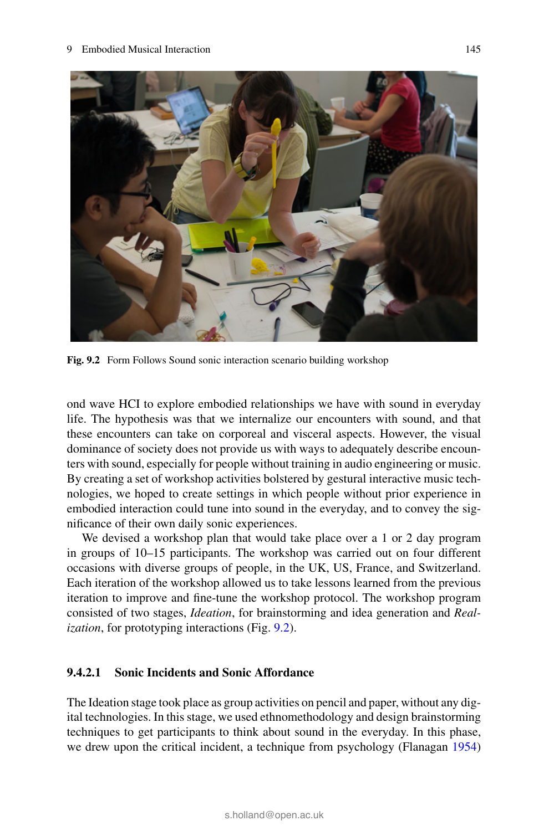

**Fig. 9.2** Form Follows Sound sonic interaction scenario building workshop

ond wave HCI to explore embodied relationships we have with sound in everyday life. The hypothesis was that we internalize our encounters with sound, and that these encounters can take on corporeal and visceral aspects. However, the visual dominance of society does not provide us with ways to adequately describe encounters with sound, especially for people without training in audio engineering or music. By creating a set of workshop activities bolstered by gestural interactive music technologies, we hoped to create settings in which people without prior experience in embodied interaction could tune into sound in the everyday, and to convey the significance of their own daily sonic experiences.

We devised a workshop plan that would take place over a 1 or 2 day program in groups of 10–15 participants. The workshop was carried out on four different occasions with diverse groups of people, in the UK, US, France, and Switzerland. Each iteration of the workshop allowed us to take lessons learned from the previous iteration to improve and fine-tune the workshop protocol. The workshop program consisted of two stages, *Ideation*, for brainstorming and idea generation and *Realization*, for prototyping interactions (Fig. 9.2).

#### **9.4.2.1 Sonic Incidents and Sonic Affordance**

The Ideation stage took place as group activities on pencil and paper, without any digital technologies. In this stage, we used ethnomethodology and design brainstorming techniques to get participants to think about sound in the everyday. In this phase, we drew upon the critical incident, a technique from psychology (Flanagan 1954)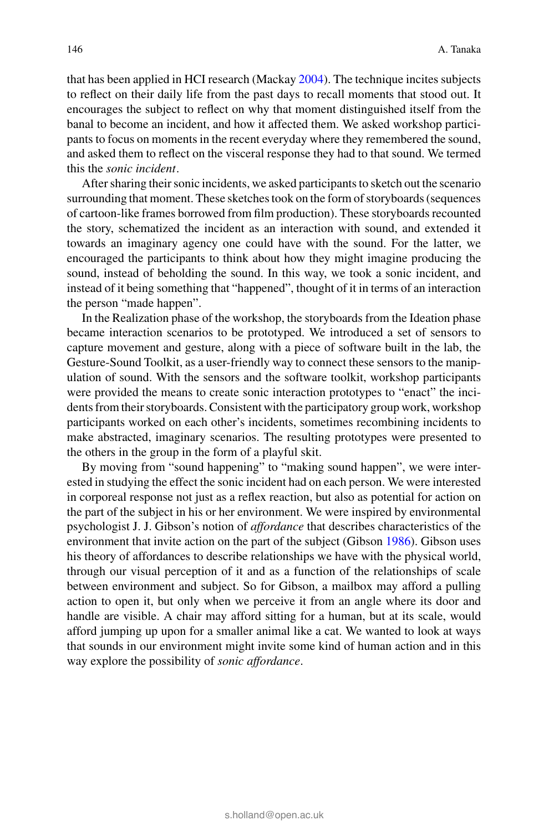that has been applied in HCI research (Mackay 2004). The technique incites subjects to reflect on their daily life from the past days to recall moments that stood out. It encourages the subject to reflect on why that moment distinguished itself from the banal to become an incident, and how it affected them. We asked workshop participants to focus on moments in the recent everyday where they remembered the sound, and asked them to reflect on the visceral response they had to that sound. We termed this the *sonic incident*.

After sharing their sonic incidents, we asked participants to sketch out the scenario surrounding that moment. These sketches took on the form of storyboards (sequences of cartoon-like frames borrowed from film production). These storyboards recounted the story, schematized the incident as an interaction with sound, and extended it towards an imaginary agency one could have with the sound. For the latter, we encouraged the participants to think about how they might imagine producing the sound, instead of beholding the sound. In this way, we took a sonic incident, and instead of it being something that "happened", thought of it in terms of an interaction the person "made happen".

In the Realization phase of the workshop, the storyboards from the Ideation phase became interaction scenarios to be prototyped. We introduced a set of sensors to capture movement and gesture, along with a piece of software built in the lab, the Gesture-Sound Toolkit, as a user-friendly way to connect these sensors to the manipulation of sound. With the sensors and the software toolkit, workshop participants were provided the means to create sonic interaction prototypes to "enact" the incidents from their storyboards. Consistent with the participatory group work, workshop participants worked on each other's incidents, sometimes recombining incidents to make abstracted, imaginary scenarios. The resulting prototypes were presented to the others in the group in the form of a playful skit.

By moving from "sound happening" to "making sound happen", we were interested in studying the effect the sonic incident had on each person. We were interested in corporeal response not just as a reflex reaction, but also as potential for action on the part of the subject in his or her environment. We were inspired by environmental psychologist J. J. Gibson's notion of *affordance* that describes characteristics of the environment that invite action on the part of the subject (Gibson 1986). Gibson uses his theory of affordances to describe relationships we have with the physical world, through our visual perception of it and as a function of the relationships of scale between environment and subject. So for Gibson, a mailbox may afford a pulling action to open it, but only when we perceive it from an angle where its door and handle are visible. A chair may afford sitting for a human, but at its scale, would afford jumping up upon for a smaller animal like a cat. We wanted to look at ways that sounds in our environment might invite some kind of human action and in this way explore the possibility of *sonic affordance*.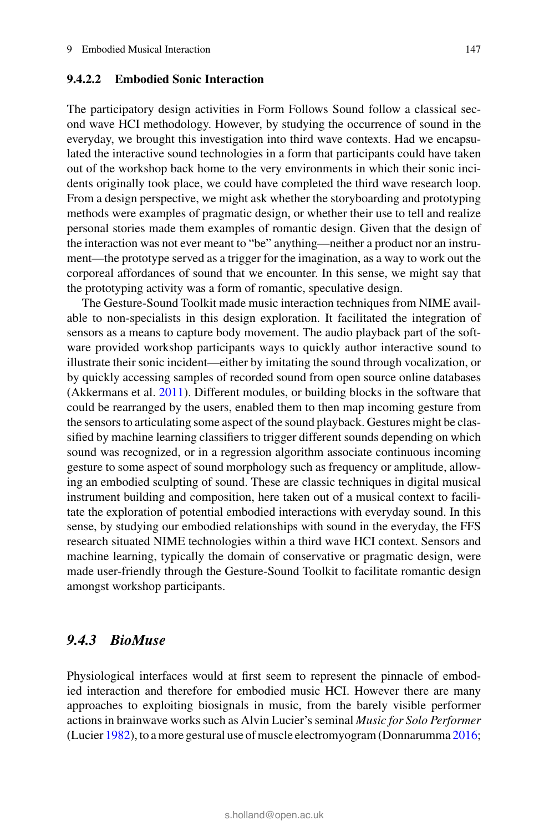#### **9.4.2.2 Embodied Sonic Interaction**

The participatory design activities in Form Follows Sound follow a classical second wave HCI methodology. However, by studying the occurrence of sound in the everyday, we brought this investigation into third wave contexts. Had we encapsulated the interactive sound technologies in a form that participants could have taken out of the workshop back home to the very environments in which their sonic incidents originally took place, we could have completed the third wave research loop. From a design perspective, we might ask whether the storyboarding and prototyping methods were examples of pragmatic design, or whether their use to tell and realize personal stories made them examples of romantic design. Given that the design of the interaction was not ever meant to "be" anything—neither a product nor an instrument—the prototype served as a trigger for the imagination, as a way to work out the corporeal affordances of sound that we encounter. In this sense, we might say that the prototyping activity was a form of romantic, speculative design.

The Gesture-Sound Toolkit made music interaction techniques from NIME available to non-specialists in this design exploration. It facilitated the integration of sensors as a means to capture body movement. The audio playback part of the software provided workshop participants ways to quickly author interactive sound to illustrate their sonic incident—either by imitating the sound through vocalization, or by quickly accessing samples of recorded sound from open source online databases (Akkermans et al. 2011). Different modules, or building blocks in the software that could be rearranged by the users, enabled them to then map incoming gesture from the sensors to articulating some aspect of the sound playback. Gestures might be classified by machine learning classifiers to trigger different sounds depending on which sound was recognized, or in a regression algorithm associate continuous incoming gesture to some aspect of sound morphology such as frequency or amplitude, allowing an embodied sculpting of sound. These are classic techniques in digital musical instrument building and composition, here taken out of a musical context to facilitate the exploration of potential embodied interactions with everyday sound. In this sense, by studying our embodied relationships with sound in the everyday, the FFS research situated NIME technologies within a third wave HCI context. Sensors and machine learning, typically the domain of conservative or pragmatic design, were made user-friendly through the Gesture-Sound Toolkit to facilitate romantic design amongst workshop participants.

#### *9.4.3 BioMuse*

Physiological interfaces would at first seem to represent the pinnacle of embodied interaction and therefore for embodied music HCI. However there are many approaches to exploiting biosignals in music, from the barely visible performer actions in brainwave works such as Alvin Lucier's seminal *Music for Solo Performer* (Lucier 1982), to a more gestural use of muscle electromyogram (Donnarumma 2016;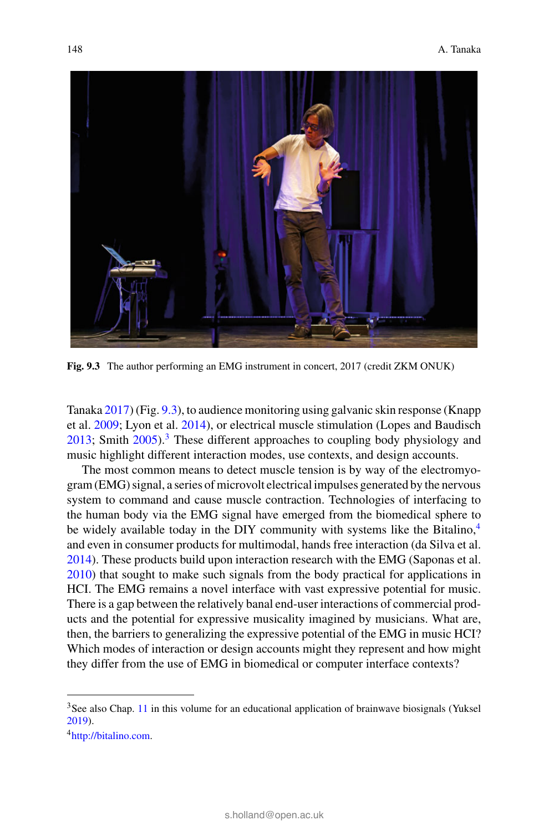

**Fig. 9.3** The author performing an EMG instrument in concert, 2017 (credit ZKM ONUK)

Tanaka 2017) (Fig. 9.3), to audience monitoring using galvanic skin response (Knapp et al. 2009; Lyon et al. 2014), or electrical muscle stimulation (Lopes and Baudisch 2013; Smith 2005).<sup>3</sup> These different approaches to coupling body physiology and music highlight different interaction modes, use contexts, and design accounts.

The most common means to detect muscle tension is by way of the electromyogram (EMG) signal, a series of microvolt electrical impulses generated by the nervous system to command and cause muscle contraction. Technologies of interfacing to the human body via the EMG signal have emerged from the biomedical sphere to be widely available today in the DIY community with systems like the Bitalino,<sup>4</sup> and even in consumer products for multimodal, hands free interaction (da Silva et al. 2014). These products build upon interaction research with the EMG (Saponas et al. 2010) that sought to make such signals from the body practical for applications in HCI. The EMG remains a novel interface with vast expressive potential for music. There is a gap between the relatively banal end-user interactions of commercial products and the potential for expressive musicality imagined by musicians. What are, then, the barriers to generalizing the expressive potential of the EMG in music HCI? Which modes of interaction or design accounts might they represent and how might they differ from the use of EMG in biomedical or computer interface contexts?

<sup>&</sup>lt;sup>3</sup>See also Chap. 11 in this volume for an educational application of brainwave biosignals (Yuksel 2019).

[<sup>4</sup>http://bitalino.com.](http://bitalino.com)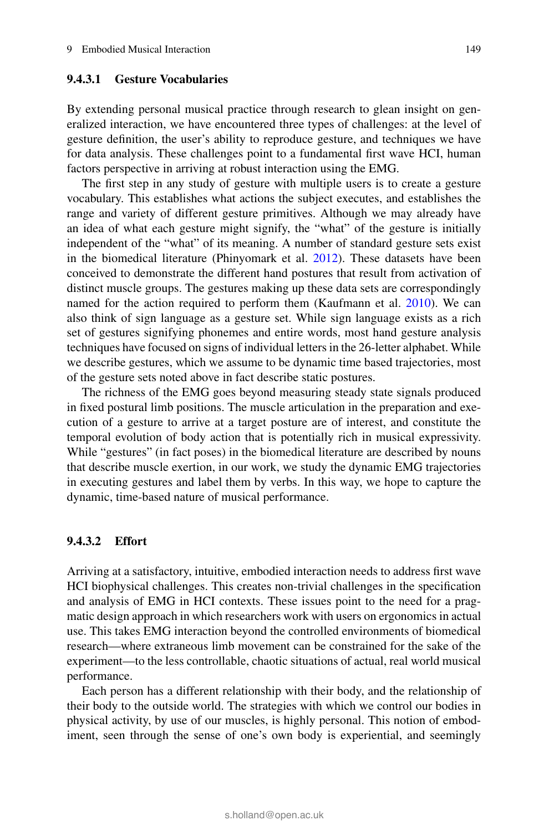#### **9.4.3.1 Gesture Vocabularies**

By extending personal musical practice through research to glean insight on generalized interaction, we have encountered three types of challenges: at the level of gesture definition, the user's ability to reproduce gesture, and techniques we have for data analysis. These challenges point to a fundamental first wave HCI, human factors perspective in arriving at robust interaction using the EMG.

The first step in any study of gesture with multiple users is to create a gesture vocabulary. This establishes what actions the subject executes, and establishes the range and variety of different gesture primitives. Although we may already have an idea of what each gesture might signify, the "what" of the gesture is initially independent of the "what" of its meaning. A number of standard gesture sets exist in the biomedical literature (Phinyomark et al. 2012). These datasets have been conceived to demonstrate the different hand postures that result from activation of distinct muscle groups. The gestures making up these data sets are correspondingly named for the action required to perform them (Kaufmann et al. 2010). We can also think of sign language as a gesture set. While sign language exists as a rich set of gestures signifying phonemes and entire words, most hand gesture analysis techniques have focused on signs of individual letters in the 26-letter alphabet. While we describe gestures, which we assume to be dynamic time based trajectories, most of the gesture sets noted above in fact describe static postures.

The richness of the EMG goes beyond measuring steady state signals produced in fixed postural limb positions. The muscle articulation in the preparation and execution of a gesture to arrive at a target posture are of interest, and constitute the temporal evolution of body action that is potentially rich in musical expressivity. While "gestures" (in fact poses) in the biomedical literature are described by nouns that describe muscle exertion, in our work, we study the dynamic EMG trajectories in executing gestures and label them by verbs. In this way, we hope to capture the dynamic, time-based nature of musical performance.

#### **9.4.3.2 Effort**

Arriving at a satisfactory, intuitive, embodied interaction needs to address first wave HCI biophysical challenges. This creates non-trivial challenges in the specification and analysis of EMG in HCI contexts. These issues point to the need for a pragmatic design approach in which researchers work with users on ergonomics in actual use. This takes EMG interaction beyond the controlled environments of biomedical research—where extraneous limb movement can be constrained for the sake of the experiment—to the less controllable, chaotic situations of actual, real world musical performance.

Each person has a different relationship with their body, and the relationship of their body to the outside world. The strategies with which we control our bodies in physical activity, by use of our muscles, is highly personal. This notion of embodiment, seen through the sense of one's own body is experiential, and seemingly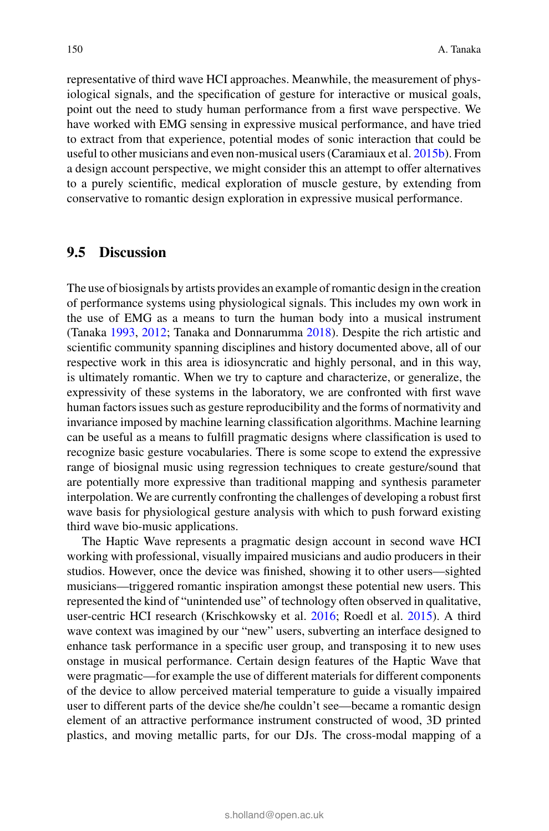representative of third wave HCI approaches. Meanwhile, the measurement of physiological signals, and the specification of gesture for interactive or musical goals, point out the need to study human performance from a first wave perspective. We have worked with EMG sensing in expressive musical performance, and have tried to extract from that experience, potential modes of sonic interaction that could be useful to other musicians and even non-musical users (Caramiaux et al. 2015b). From a design account perspective, we might consider this an attempt to offer alternatives to a purely scientific, medical exploration of muscle gesture, by extending from conservative to romantic design exploration in expressive musical performance.

#### **9.5 Discussion**

The use of biosignals by artists provides an example of romantic design in the creation of performance systems using physiological signals. This includes my own work in the use of EMG as a means to turn the human body into a musical instrument (Tanaka 1993, 2012; Tanaka and Donnarumma 2018). Despite the rich artistic and scientific community spanning disciplines and history documented above, all of our respective work in this area is idiosyncratic and highly personal, and in this way, is ultimately romantic. When we try to capture and characterize, or generalize, the expressivity of these systems in the laboratory, we are confronted with first wave human factors issues such as gesture reproducibility and the forms of normativity and invariance imposed by machine learning classification algorithms. Machine learning can be useful as a means to fulfill pragmatic designs where classification is used to recognize basic gesture vocabularies. There is some scope to extend the expressive range of biosignal music using regression techniques to create gesture/sound that are potentially more expressive than traditional mapping and synthesis parameter interpolation. We are currently confronting the challenges of developing a robust first wave basis for physiological gesture analysis with which to push forward existing third wave bio-music applications.

The Haptic Wave represents a pragmatic design account in second wave HCI working with professional, visually impaired musicians and audio producers in their studios. However, once the device was finished, showing it to other users—sighted musicians—triggered romantic inspiration amongst these potential new users. This represented the kind of "unintended use" of technology often observed in qualitative, user-centric HCI research (Krischkowsky et al. 2016; Roedl et al. 2015). A third wave context was imagined by our "new" users, subverting an interface designed to enhance task performance in a specific user group, and transposing it to new uses onstage in musical performance. Certain design features of the Haptic Wave that were pragmatic—for example the use of different materials for different components of the device to allow perceived material temperature to guide a visually impaired user to different parts of the device she/he couldn't see—became a romantic design element of an attractive performance instrument constructed of wood, 3D printed plastics, and moving metallic parts, for our DJs. The cross-modal mapping of a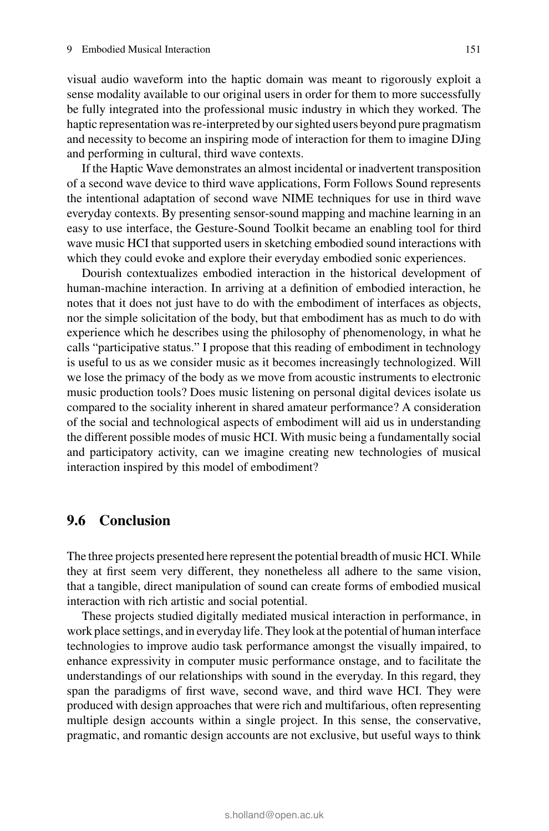visual audio waveform into the haptic domain was meant to rigorously exploit a sense modality available to our original users in order for them to more successfully be fully integrated into the professional music industry in which they worked. The haptic representation was re-interpreted by our sighted users beyond pure pragmatism and necessity to become an inspiring mode of interaction for them to imagine DJing and performing in cultural, third wave contexts.

If the Haptic Wave demonstrates an almost incidental or inadvertent transposition of a second wave device to third wave applications, Form Follows Sound represents the intentional adaptation of second wave NIME techniques for use in third wave everyday contexts. By presenting sensor-sound mapping and machine learning in an easy to use interface, the Gesture-Sound Toolkit became an enabling tool for third wave music HCI that supported users in sketching embodied sound interactions with which they could evoke and explore their everyday embodied sonic experiences.

Dourish contextualizes embodied interaction in the historical development of human-machine interaction. In arriving at a definition of embodied interaction, he notes that it does not just have to do with the embodiment of interfaces as objects, nor the simple solicitation of the body, but that embodiment has as much to do with experience which he describes using the philosophy of phenomenology, in what he calls "participative status." I propose that this reading of embodiment in technology is useful to us as we consider music as it becomes increasingly technologized. Will we lose the primacy of the body as we move from acoustic instruments to electronic music production tools? Does music listening on personal digital devices isolate us compared to the sociality inherent in shared amateur performance? A consideration of the social and technological aspects of embodiment will aid us in understanding the different possible modes of music HCI. With music being a fundamentally social and participatory activity, can we imagine creating new technologies of musical interaction inspired by this model of embodiment?

#### **9.6 Conclusion**

The three projects presented here represent the potential breadth of music HCI. While they at first seem very different, they nonetheless all adhere to the same vision, that a tangible, direct manipulation of sound can create forms of embodied musical interaction with rich artistic and social potential.

These projects studied digitally mediated musical interaction in performance, in work place settings, and in everyday life. They look at the potential of human interface technologies to improve audio task performance amongst the visually impaired, to enhance expressivity in computer music performance onstage, and to facilitate the understandings of our relationships with sound in the everyday. In this regard, they span the paradigms of first wave, second wave, and third wave HCI. They were produced with design approaches that were rich and multifarious, often representing multiple design accounts within a single project. In this sense, the conservative, pragmatic, and romantic design accounts are not exclusive, but useful ways to think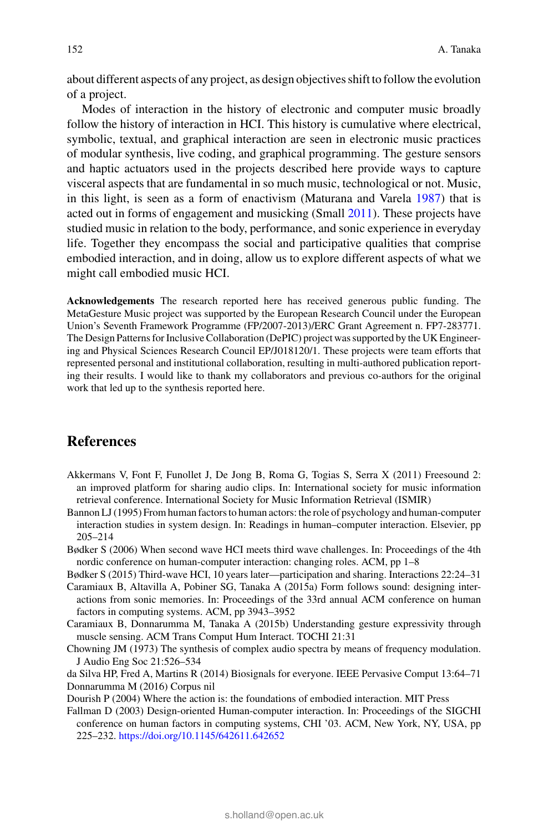about different aspects of any project, as design objectives shift to follow the evolution of a project.

Modes of interaction in the history of electronic and computer music broadly follow the history of interaction in HCI. This history is cumulative where electrical, symbolic, textual, and graphical interaction are seen in electronic music practices of modular synthesis, live coding, and graphical programming. The gesture sensors and haptic actuators used in the projects described here provide ways to capture visceral aspects that are fundamental in so much music, technological or not. Music, in this light, is seen as a form of enactivism (Maturana and Varela 1987) that is acted out in forms of engagement and musicking (Small 2011). These projects have studied music in relation to the body, performance, and sonic experience in everyday life. Together they encompass the social and participative qualities that comprise embodied interaction, and in doing, allow us to explore different aspects of what we might call embodied music HCI.

**Acknowledgements** The research reported here has received generous public funding. The MetaGesture Music project was supported by the European Research Council under the European Union's Seventh Framework Programme (FP/2007-2013)/ERC Grant Agreement n. FP7-283771. The Design Patterns for Inclusive Collaboration (DePIC) project was supported by the UK Engineering and Physical Sciences Research Council EP/J018120/1. These projects were team efforts that represented personal and institutional collaboration, resulting in multi-authored publication reporting their results. I would like to thank my collaborators and previous co-authors for the original work that led up to the synthesis reported here.

#### **References**

- Akkermans V, Font F, Funollet J, De Jong B, Roma G, Togias S, Serra X (2011) Freesound 2: an improved platform for sharing audio clips. In: International society for music information retrieval conference. International Society for Music Information Retrieval (ISMIR)
- Bannon LJ (1995) From human factors to human actors: the role of psychology and human-computer interaction studies in system design. In: Readings in human–computer interaction. Elsevier, pp 205–214
- Bødker S (2006) When second wave HCI meets third wave challenges. In: Proceedings of the 4th nordic conference on human-computer interaction: changing roles. ACM, pp 1–8
- Bødker S (2015) Third-wave HCI, 10 years later—participation and sharing. Interactions 22:24–31
- Caramiaux B, Altavilla A, Pobiner SG, Tanaka A (2015a) Form follows sound: designing interactions from sonic memories. In: Proceedings of the 33rd annual ACM conference on human factors in computing systems. ACM, pp 3943–3952
- Caramiaux B, Donnarumma M, Tanaka A (2015b) Understanding gesture expressivity through muscle sensing. ACM Trans Comput Hum Interact. TOCHI 21:31
- Chowning JM (1973) The synthesis of complex audio spectra by means of frequency modulation. J Audio Eng Soc 21:526–534
- da Silva HP, Fred A, Martins R (2014) Biosignals for everyone. IEEE Pervasive Comput 13:64–71 Donnarumma M (2016) Corpus nil
- Dourish P (2004) Where the action is: the foundations of embodied interaction. MIT Press
- Fallman D (2003) Design-oriented Human-computer interaction. In: Proceedings of the SIGCHI conference on human factors in computing systems, CHI '03. ACM, New York, NY, USA, pp 225–232. <https://doi.org/10.1145/642611.642652>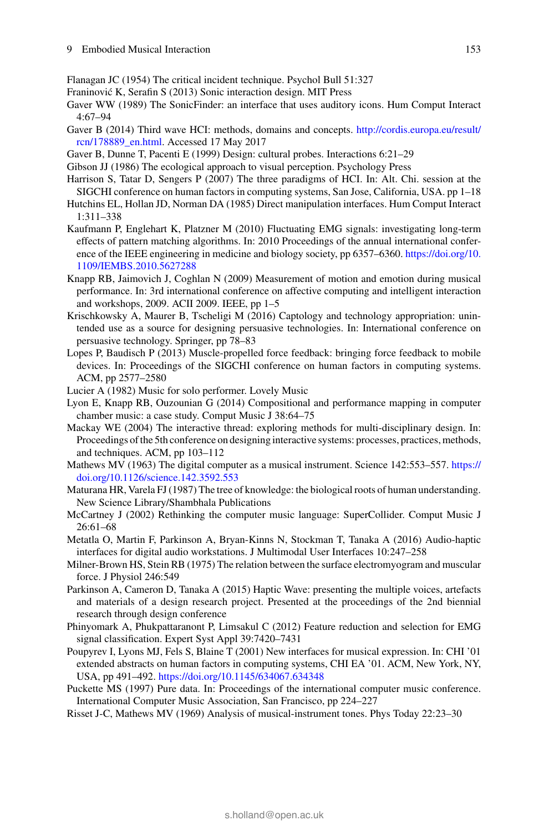Flanagan JC (1954) The critical incident technique. Psychol Bull 51:327

- Franinović K, Serafin S (2013) Sonic interaction design. MIT Press
- Gaver WW (1989) The SonicFinder: an interface that uses auditory icons. Hum Comput Interact 4:67–94
- [Gaver B \(2014\) Third wave HCI: methods, domains and concepts.](http://cordis.europa.eu/result/rcn/178889_en.html) http://cordis.europa.eu/result/ rcn/178889\_en.html. Accessed 17 May 2017
- Gaver B, Dunne T, Pacenti E (1999) Design: cultural probes. Interactions 6:21–29
- Gibson JJ (1986) The ecological approach to visual perception. Psychology Press
- Harrison S, Tatar D, Sengers P (2007) The three paradigms of HCI. In: Alt. Chi. session at the SIGCHI conference on human factors in computing systems, San Jose, California, USA. pp 1–18
- Hutchins EL, Hollan JD, Norman DA (1985) Direct manipulation interfaces. Hum Comput Interact 1:311–338
- Kaufmann P, Englehart K, Platzner M (2010) Fluctuating EMG signals: investigating long-term effects of pattern matching algorithms. In: 2010 Proceedings of the annual international confer[ence of the IEEE engineering in medicine and biology society, pp 6357–6360.](https://doi.org/10.1109/IEMBS.2010.5627288) https://doi.org/10. 1109/IEMBS.2010.5627288
- Knapp RB, Jaimovich J, Coghlan N (2009) Measurement of motion and emotion during musical performance. In: 3rd international conference on affective computing and intelligent interaction and workshops, 2009. ACII 2009. IEEE, pp 1–5
- Krischkowsky A, Maurer B, Tscheligi M (2016) Captology and technology appropriation: unintended use as a source for designing persuasive technologies. In: International conference on persuasive technology. Springer, pp 78–83
- Lopes P, Baudisch P (2013) Muscle-propelled force feedback: bringing force feedback to mobile devices. In: Proceedings of the SIGCHI conference on human factors in computing systems. ACM, pp 2577–2580
- Lucier A (1982) Music for solo performer. Lovely Music
- Lyon E, Knapp RB, Ouzounian G (2014) Compositional and performance mapping in computer chamber music: a case study. Comput Music J 38:64–75
- Mackay WE (2004) The interactive thread: exploring methods for multi-disciplinary design. In: Proceedings of the 5th conference on designing interactive systems: processes, practices, methods, and techniques. ACM, pp 103–112
- [Mathews MV \(1963\) The digital computer as a musical instrument. Science 142:553–557.](https://doi.org/10.1126/science.142.3592.553) https:// doi.org/10.1126/science.142.3592.553
- Maturana HR, Varela FJ (1987) The tree of knowledge: the biological roots of human understanding. New Science Library/Shambhala Publications
- McCartney J (2002) Rethinking the computer music language: SuperCollider. Comput Music J 26:61–68
- Metatla O, Martin F, Parkinson A, Bryan-Kinns N, Stockman T, Tanaka A (2016) Audio-haptic interfaces for digital audio workstations. J Multimodal User Interfaces 10:247–258
- Milner-Brown HS, Stein RB (1975) The relation between the surface electromyogram and muscular force. J Physiol 246:549
- Parkinson A, Cameron D, Tanaka A (2015) Haptic Wave: presenting the multiple voices, artefacts and materials of a design research project. Presented at the proceedings of the 2nd biennial research through design conference
- Phinyomark A, Phukpattaranont P, Limsakul C (2012) Feature reduction and selection for EMG signal classification. Expert Syst Appl 39:7420–7431
- Poupyrev I, Lyons MJ, Fels S, Blaine T (2001) New interfaces for musical expression. In: CHI '01 extended abstracts on human factors in computing systems, CHI EA '01. ACM, New York, NY, USA, pp 491–492. <https://doi.org/10.1145/634067.634348>
- Puckette MS (1997) Pure data. In: Proceedings of the international computer music conference. International Computer Music Association, San Francisco, pp 224–227
- Risset J-C, Mathews MV (1969) Analysis of musical-instrument tones. Phys Today 22:23–30